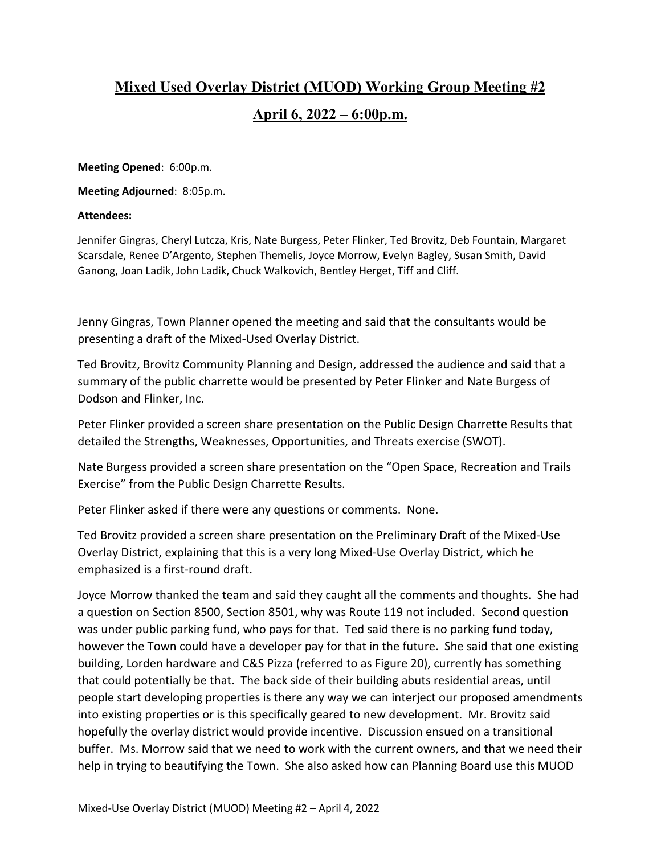## **Mixed Used Overlay District (MUOD) Working Group Meeting #2 April 6, 2022 – 6:00p.m.**

**Meeting Opened**: 6:00p.m.

**Meeting Adjourned**: 8:05p.m.

## **Attendees:**

Jennifer Gingras, Cheryl Lutcza, Kris, Nate Burgess, Peter Flinker, Ted Brovitz, Deb Fountain, Margaret Scarsdale, Renee D'Argento, Stephen Themelis, Joyce Morrow, Evelyn Bagley, Susan Smith, David Ganong, Joan Ladik, John Ladik, Chuck Walkovich, Bentley Herget, Tiff and Cliff.

Jenny Gingras, Town Planner opened the meeting and said that the consultants would be presenting a draft of the Mixed-Used Overlay District.

Ted Brovitz, Brovitz Community Planning and Design, addressed the audience and said that a summary of the public charrette would be presented by Peter Flinker and Nate Burgess of Dodson and Flinker, Inc.

Peter Flinker provided a screen share presentation on the Public Design Charrette Results that detailed the Strengths, Weaknesses, Opportunities, and Threats exercise (SWOT).

Nate Burgess provided a screen share presentation on the "Open Space, Recreation and Trails Exercise" from the Public Design Charrette Results.

Peter Flinker asked if there were any questions or comments. None.

Ted Brovitz provided a screen share presentation on the Preliminary Draft of the Mixed-Use Overlay District, explaining that this is a very long Mixed-Use Overlay District, which he emphasized is a first-round draft.

Joyce Morrow thanked the team and said they caught all the comments and thoughts. She had a question on Section 8500, Section 8501, why was Route 119 not included. Second question was under public parking fund, who pays for that. Ted said there is no parking fund today, however the Town could have a developer pay for that in the future. She said that one existing building, Lorden hardware and C&S Pizza (referred to as Figure 20), currently has something that could potentially be that. The back side of their building abuts residential areas, until people start developing properties is there any way we can interject our proposed amendments into existing properties or is this specifically geared to new development. Mr. Brovitz said hopefully the overlay district would provide incentive. Discussion ensued on a transitional buffer. Ms. Morrow said that we need to work with the current owners, and that we need their help in trying to beautifying the Town. She also asked how can Planning Board use this MUOD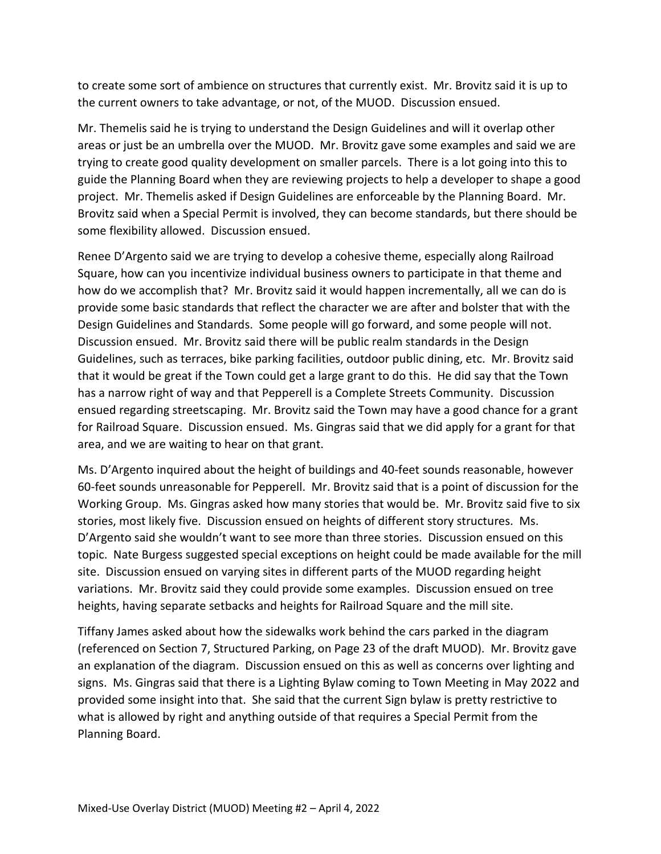to create some sort of ambience on structures that currently exist. Mr. Brovitz said it is up to the current owners to take advantage, or not, of the MUOD. Discussion ensued.

Mr. Themelis said he is trying to understand the Design Guidelines and will it overlap other areas or just be an umbrella over the MUOD. Mr. Brovitz gave some examples and said we are trying to create good quality development on smaller parcels. There is a lot going into this to guide the Planning Board when they are reviewing projects to help a developer to shape a good project. Mr. Themelis asked if Design Guidelines are enforceable by the Planning Board. Mr. Brovitz said when a Special Permit is involved, they can become standards, but there should be some flexibility allowed. Discussion ensued.

Renee D'Argento said we are trying to develop a cohesive theme, especially along Railroad Square, how can you incentivize individual business owners to participate in that theme and how do we accomplish that? Mr. Brovitz said it would happen incrementally, all we can do is provide some basic standards that reflect the character we are after and bolster that with the Design Guidelines and Standards. Some people will go forward, and some people will not. Discussion ensued. Mr. Brovitz said there will be public realm standards in the Design Guidelines, such as terraces, bike parking facilities, outdoor public dining, etc. Mr. Brovitz said that it would be great if the Town could get a large grant to do this. He did say that the Town has a narrow right of way and that Pepperell is a Complete Streets Community. Discussion ensued regarding streetscaping. Mr. Brovitz said the Town may have a good chance for a grant for Railroad Square. Discussion ensued. Ms. Gingras said that we did apply for a grant for that area, and we are waiting to hear on that grant.

Ms. D'Argento inquired about the height of buildings and 40-feet sounds reasonable, however 60-feet sounds unreasonable for Pepperell. Mr. Brovitz said that is a point of discussion for the Working Group. Ms. Gingras asked how many stories that would be. Mr. Brovitz said five to six stories, most likely five. Discussion ensued on heights of different story structures. Ms. D'Argento said she wouldn't want to see more than three stories. Discussion ensued on this topic. Nate Burgess suggested special exceptions on height could be made available for the mill site. Discussion ensued on varying sites in different parts of the MUOD regarding height variations. Mr. Brovitz said they could provide some examples. Discussion ensued on tree heights, having separate setbacks and heights for Railroad Square and the mill site.

Tiffany James asked about how the sidewalks work behind the cars parked in the diagram (referenced on Section 7, Structured Parking, on Page 23 of the draft MUOD). Mr. Brovitz gave an explanation of the diagram. Discussion ensued on this as well as concerns over lighting and signs. Ms. Gingras said that there is a Lighting Bylaw coming to Town Meeting in May 2022 and provided some insight into that. She said that the current Sign bylaw is pretty restrictive to what is allowed by right and anything outside of that requires a Special Permit from the Planning Board.